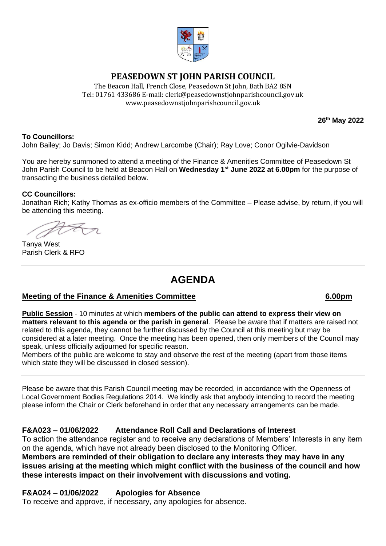

## **PEASEDOWN ST JOHN PARISH COUNCIL**

The Beacon Hall, French Close, Peasedown St John, Bath BA2 8SN Tel: 01761 433686 E-mail: clerk@peasedownstjohnparishcouncil.gov.uk [www.peasedownstjohnparishcouncil.gov.uk](http://www.peasedownstjohnparishcouncil.gov.uk/)

**26th May 2022**

### **To Councillors:**

John Bailey; Jo Davis; Simon Kidd; Andrew Larcombe (Chair); Ray Love; Conor Ogilvie-Davidson

You are hereby summoned to attend a meeting of the Finance & Amenities Committee of Peasedown St John Parish Council to be held at Beacon Hall on **Wednesday 1st June 2022 at 6.00pm** for the purpose of transacting the business detailed below.

### **CC Councillors:**

Jonathan Rich; Kathy Thomas as ex-officio members of the Committee – Please advise, by return, if you will be attending this meeting.

Tanya West Parish Clerk & RFO

# **AGENDA**

### **Meeting of the Finance & Amenities Committee 6.00pm**

**Public Session** - 10 minutes at which **members of the public can attend to express their view on matters relevant to this agenda or the parish in general**. Please be aware that if matters are raised not related to this agenda, they cannot be further discussed by the Council at this meeting but may be considered at a later meeting. Once the meeting has been opened, then only members of the Council may speak, unless officially adjourned for specific reason.

Members of the public are welcome to stay and observe the rest of the meeting (apart from those items which state they will be discussed in closed session).

Please be aware that this Parish Council meeting may be recorded, in accordance with the Openness of Local Government Bodies Regulations 2014. We kindly ask that anybody intending to record the meeting please inform the Chair or Clerk beforehand in order that any necessary arrangements can be made.

### **F&A023 – 01/06/2022 Attendance Roll Call and Declarations of Interest**

To action the attendance register and to receive any declarations of Members' Interests in any item on the agenda, which have not already been disclosed to the Monitoring Officer. **Members are reminded of their obligation to declare any interests they may have in any issues arising at the meeting which might conflict with the business of the council and how these interests impact on their involvement with discussions and voting.**

### **F&A024 – 01/06/2022 Apologies for Absence**

To receive and approve, if necessary, any apologies for absence.